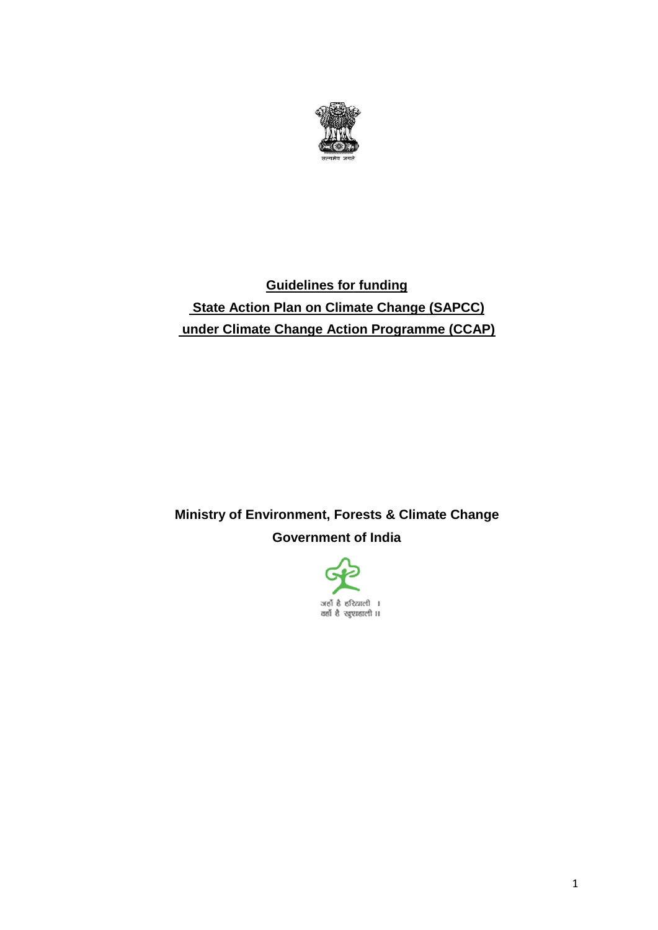

# **Guidelines for funding State Action Plan on Climate Change (SAPCC) under Climate Change Action Programme (CCAP)**

# **Ministry of Environment, Forests & Climate Change Government of India**

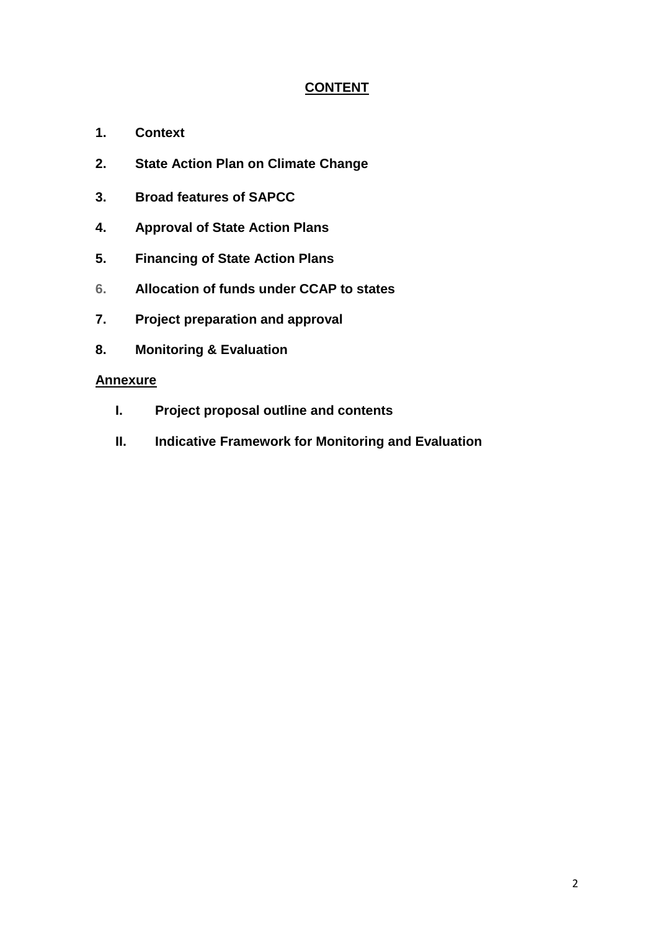## **CONTENT**

- **1. Context**
- **2. State Action Plan on Climate Change**
- **3. Broad features of SAPCC**
- **4. Approval of State Action Plans**
- **5. Financing of State Action Plans**
- **6. Allocation of funds under CCAP to states**
- **7. Project preparation and approval**
- **8. Monitoring & Evaluation**

#### **Annexure**

- **I. Project proposal outline and contents**
- **II. Indicative Framework for Monitoring and Evaluation**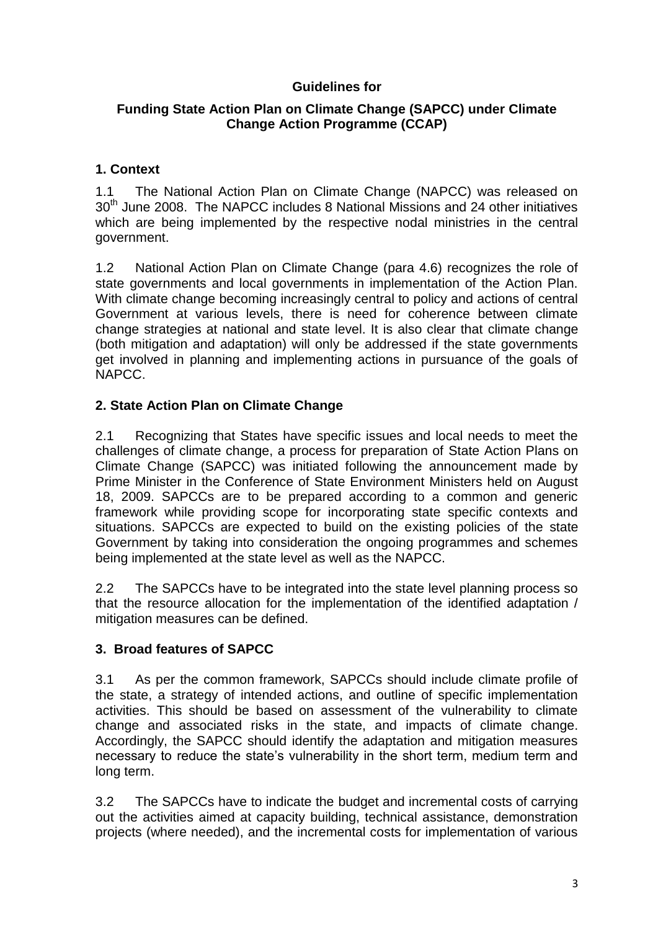# **Guidelines for**

## **Funding State Action Plan on Climate Change (SAPCC) under Climate Change Action Programme (CCAP)**

# **1. Context**

 $1.1$ 30<sup>th</sup> June 2008. The NAPCC includes 8 National Missions and 24 other initiatives which are being implemented by the respective nodal ministries in the central The National Action Plan on Climate Change (NAPCC) was released on government.

 1.2 National Action Plan on Climate Change (para 4.6) recognizes the role of state governments and local governments in implementation of the Action Plan. With climate change becoming increasingly central to policy and actions of central Government at various levels, there is need for coherence between climate change strategies at national and state level. It is also clear that climate change (both mitigation and adaptation) will only be addressed if the state governments get involved in planning and implementing actions in pursuance of the goals of NAPCC.

### **2. State Action Plan on Climate Change**

 2.1 Recognizing that States have specific issues and local needs to meet the challenges of climate change, a process for preparation of State Action Plans on Climate Change (SAPCC) was initiated following the announcement made by Prime Minister in the Conference of State Environment Ministers held on August 18, 2009. SAPCCs are to be prepared according to a common and generic framework while providing scope for incorporating state specific contexts and situations. SAPCCs are expected to build on the existing policies of the state Government by taking into consideration the ongoing programmes and schemes being implemented at the state level as well as the NAPCC.

 $2.2$  that the resource allocation for the implementation of the identified adaptation / The SAPCCs have to be integrated into the state level planning process so mitigation measures can be defined.

### **3. Broad features of SAPCC**

 3.1 As per the common framework, SAPCCs should include climate profile of the state, a strategy of intended actions, and outline of specific implementation activities. This should be based on assessment of the vulnerability to climate change and associated risks in the state, and impacts of climate change. Accordingly, the SAPCC should identify the adaptation and mitigation measures necessary to reduce the state's vulnerability in the short term, medium term and long term.

 $3.2$  out the activities aimed at capacity building, technical assistance, demonstration projects (where needed), and the incremental costs for implementation of various The SAPCCs have to indicate the budget and incremental costs of carrying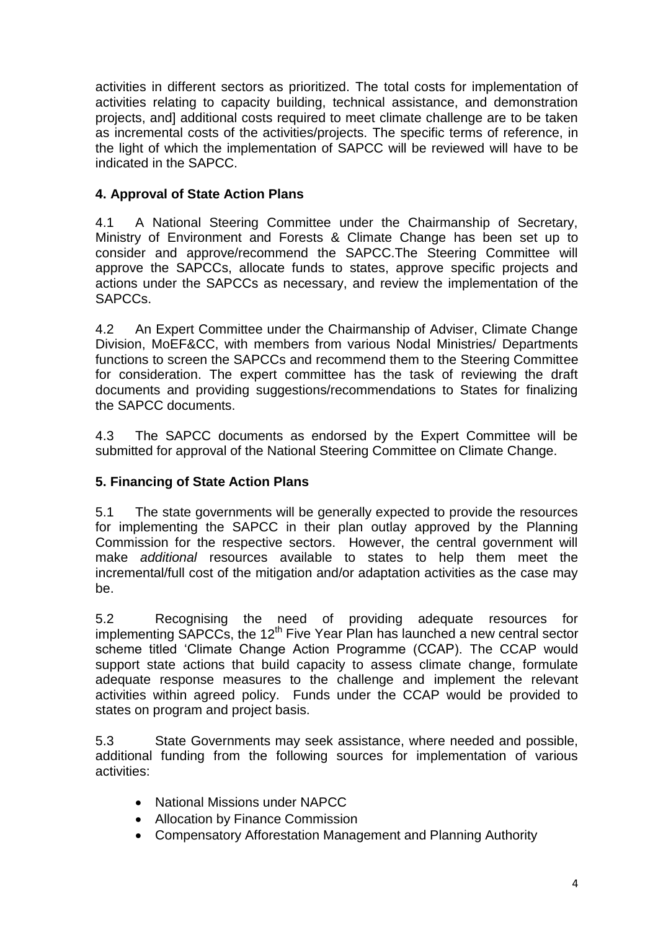activities relating to capacity building, technical assistance, and demonstration projects, and] additional costs required to meet climate challenge are to be taken as incremental costs of the activities/projects. The specific terms of reference, in the light of which the implementation of SAPCC will be reviewed will have to be indicated in the SAPCC. activities in different sectors as prioritized. The total costs for implementation of

# **4. Approval of State Action Plans**

 $4.1$  Ministry of Environment and Forests & Climate Change has been set up to consider and approve/recommend the SAPCC.The Steering Committee will approve the SAPCCs, allocate funds to states, approve specific projects and actions under the SAPCCs as necessary, and review the implementation of the 4.1 A National Steering Committee under the Chairmanship of Secretary, SAPCCs.

4.2 functions to screen the SAPCCs and recommend them to the Steering Committee for consideration. The expert committee has the task of reviewing the draft documents and providing suggestions/recommendations to States for finalizing An Expert Committee under the Chairmanship of Adviser, Climate Change Division, MoEF&CC, with members from various Nodal Ministries/ Departments the SAPCC documents.

 $4.3$  submitted for approval of the National Steering Committee on Climate Change. The SAPCC documents as endorsed by the Expert Committee will be

# **5. Financing of State Action Plans**

 $5.1$  for implementing the SAPCC in their plan outlay approved by the Planning Commission for the respective sectors. However, the central government will make *additional* resources available to states to help them meet the incremental/full cost of the mitigation and/or adaptation activities as the case may The state governments will be generally expected to provide the resources be.

 5.2 Recognising the need of providing adequate resources for scheme titled 'Climate Change Action Programme (CCAP). The CCAP would support state actions that build capacity to assess climate change, formulate adequate response measures to the challenge and implement the relevant activities within agreed policy. Funds under the CCAP would be provided to states on program and project basis. implementing SAPCCs, the  $12<sup>th</sup>$  Five Year Plan has launched a new central sector

 5.3 State Governments may seek assistance, where needed and possible, additional funding from the following sources for implementation of various activities:

- National Missions under NAPCC
- Allocation by Finance Commission
- Compensatory Afforestation Management and Planning Authority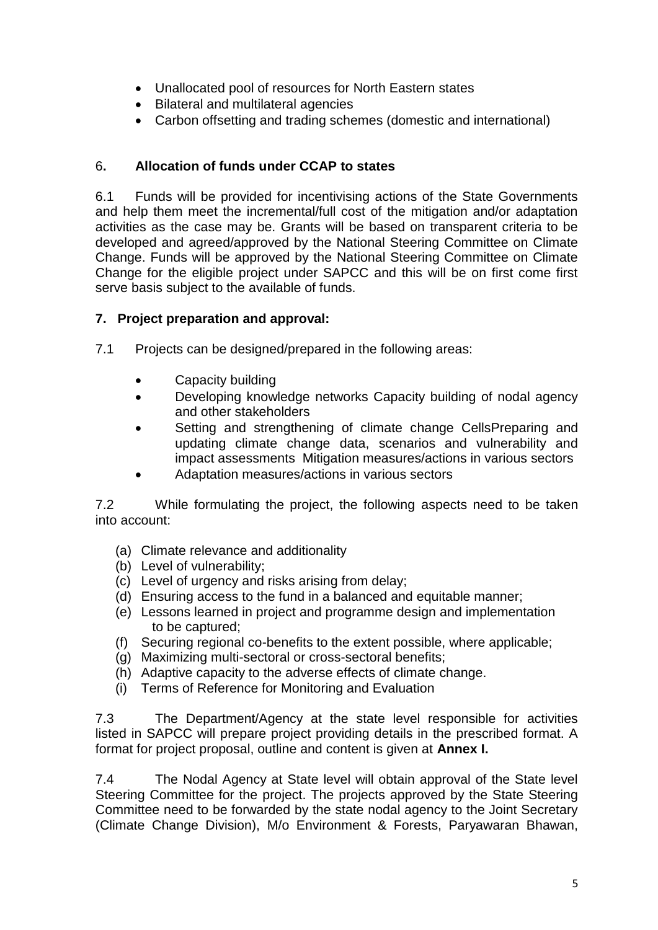- Unallocated pool of resources for North Eastern states
- Bilateral and multilateral agencies
- Carbon offsetting and trading schemes (domestic and international)

# 6**. Allocation of funds under CCAP to states**

 6.1 Funds will be provided for incentivising actions of the State Governments and help them meet the incremental/full cost of the mitigation and/or adaptation activities as the case may be. Grants will be based on transparent criteria to be developed and agreed/approved by the National Steering Committee on Climate Change. Funds will be approved by the National Steering Committee on Climate Change for the eligible project under SAPCC and this will be on first come first serve basis subject to the available of funds.

# **7. Project preparation and approval:**

- 7.1 Projects can be designed/prepared in the following areas:
	- Capacity building
	- Developing knowledge networks Capacity building of nodal agency and other stakeholders
	- Setting and strengthening of climate change CellsPreparing and updating climate change data, scenarios and vulnerability and impact assessments Mitigation measures/actions in various sectors
	- Adaptation measures/actions in various sectors

 7.2 While formulating the project, the following aspects need to be taken into account:

- (a) Climate relevance and additionality
- (b) Level of vulnerability;
- (c) Level of urgency and risks arising from delay;
- (d) Ensuring access to the fund in a balanced and equitable manner;
- (e) Lessons learned in project and programme design and implementation to be captured;
- (f) Securing regional co-benefits to the extent possible, where applicable;
- (g) Maximizing multi-sectoral or cross-sectoral benefits;
- (h) Adaptive capacity to the adverse effects of climate change.
- (i) Terms of Reference for Monitoring and Evaluation

 $7.3$  listed in SAPCC will prepare project providing details in the prescribed format. A format for project proposal, outline and content is given at **Annex I.** The Department/Agency at the state level responsible for activities

 $7.4$  Steering Committee for the project. The projects approved by the State Steering Committee need to be forwarded by the state nodal agency to the Joint Secretary (Climate Change Division), M/o Environment & Forests, Paryawaran Bhawan, The Nodal Agency at State level will obtain approval of the State level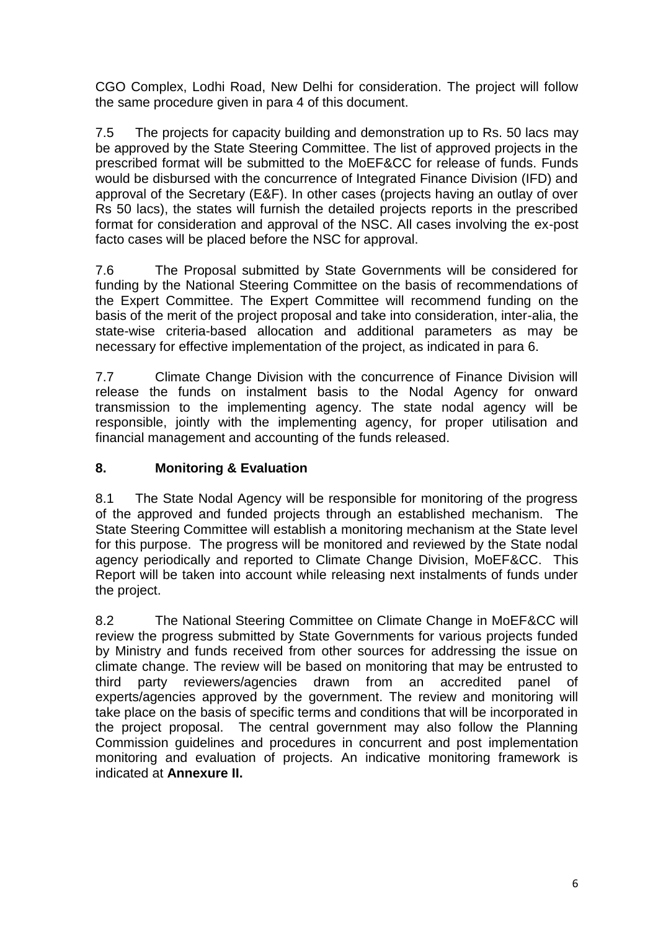CGO Complex, Lodhi Road, New Delhi for consideration. The project will follow the same procedure given in para 4 of this document.

 $7.5$  be approved by the State Steering Committee. The list of approved projects in the prescribed format will be submitted to the MoEF&CC for release of funds. Funds would be disbursed with the concurrence of Integrated Finance Division (IFD) and approval of the Secretary (E&F). In other cases (projects having an outlay of over Rs 50 lacs), the states will furnish the detailed projects reports in the prescribed format for consideration and approval of the NSC. All cases involving the ex-post The projects for capacity building and demonstration up to Rs. 50 lacs may facto cases will be placed before the NSC for approval.

7.6 funding by the National Steering Committee on the basis of recommendations of the Expert Committee. The Expert Committee will recommend funding on the state-wise criteria-based allocation and additional parameters as may be necessary for effective implementation of the project, as indicated in para 6. The Proposal submitted by State Governments will be considered for basis of the merit of the project proposal and take into consideration, inter-alia, the

 7.7 Climate Change Division with the concurrence of Finance Division will release the funds on instalment basis to the Nodal Agency for onward transmission to the implementing agency. The state nodal agency will be responsible, jointly with the implementing agency, for proper utilisation and financial management and accounting of the funds released.

# **8. Monitoring & Evaluation**

 $8.1$  of the approved and funded projects through an established mechanism. The State Steering Committee will establish a monitoring mechanism at the State level for this purpose. The progress will be monitored and reviewed by the State nodal agency periodically and reported to Climate Change Division, MoEF&CC. This Report will be taken into account while releasing next instalments of funds under the project. The State Nodal Agency will be responsible for monitoring of the progress

8.2 review the progress submitted by State Governments for various projects funded by Ministry and funds received from other sources for addressing the issue on climate change. The review will be based on monitoring that may be entrusted to third experts/agencies approved by the government. The review and monitoring will the project proposal. The central government may also follow the Planning Commission guidelines and procedures in concurrent and post implementation monitoring and evaluation of projects. An indicative monitoring framework is The National Steering Committee on Climate Change in MoEF&CC will party reviewers/agencies drawn from an accredited panel of take place on the basis of specific terms and conditions that will be incorporated in indicated at **Annexure II.**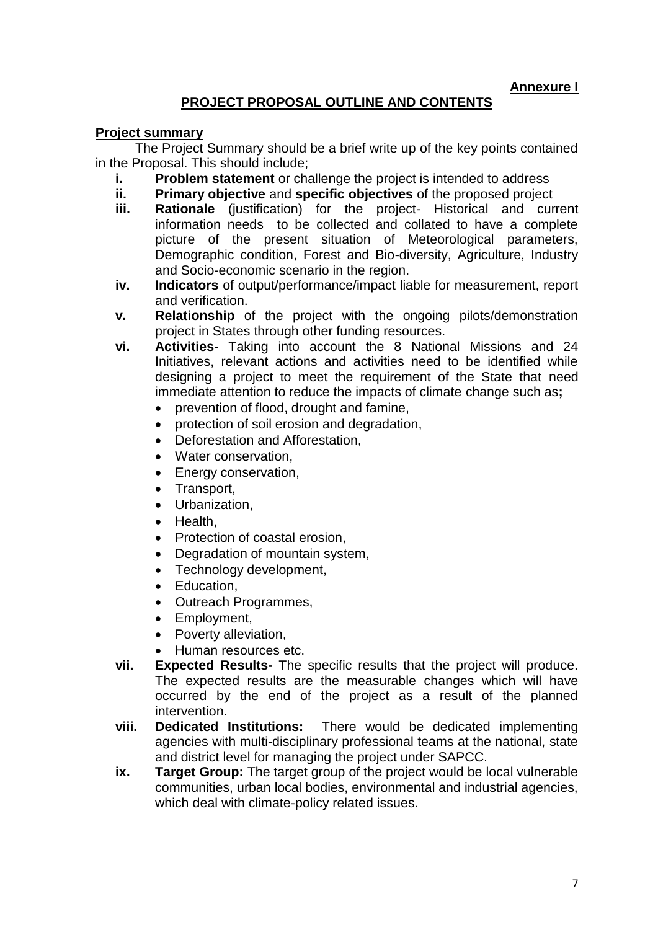**Annexure I** 

# **PROJECT PROPOSAL OUTLINE AND CONTENTS**

#### **Project summary**

 The Project Summary should be a brief write up of the key points contained in the Proposal. This should include;

- **i.** Problem statement or challenge the project is intended to address
- **ii. Primary objective** and **specific objectives** of the proposed project
- **iii. Rationale** (justification) for the project- Historical and current information needs to be collected and collated to have a complete picture of the present situation of Meteorological parameters, Demographic condition, Forest and Bio-diversity, Agriculture, Industry and Socio-economic scenario in the region.
- **iv. Indicators** of output/performance/impact liable for measurement, report and verification.
- **v. Relationship** of the project with the ongoing pilots/demonstration project in States through other funding resources.
- **vi. Activities-** Taking into account the 8 National Missions and 24 Initiatives, relevant actions and activities need to be identified while designing a project to meet the requirement of the State that need immediate attention to reduce the impacts of climate change such as**;** 
	- prevention of flood, drought and famine,
	- protection of soil erosion and degradation,
	- Deforestation and Afforestation.
	- Water conservation.
	- Energy conservation,
	- Transport,
	- Urbanization,
	- Health,
	- Protection of coastal erosion.
	- Degradation of mountain system,
	- Technology development,
	- Education,
	- Outreach Programmes.
	- Employment,
	- Poverty alleviation,
	- Human resources etc.
- The expected results are the measurable changes which will have occurred by the end of the project as a result of the planned **vii. Expected Results-** The specific results that the project will produce. intervention.
- **Dedicated Institutions:**  agencies with multi-disciplinary professional teams at the national, state **viii. Dedicated Institutions:** There would be dedicated implementing and district level for managing the project under SAPCC.
- **ix. Target Group:** The target group of the project would be local vulnerable communities, urban local bodies, environmental and industrial agencies, which deal with climate-policy related issues.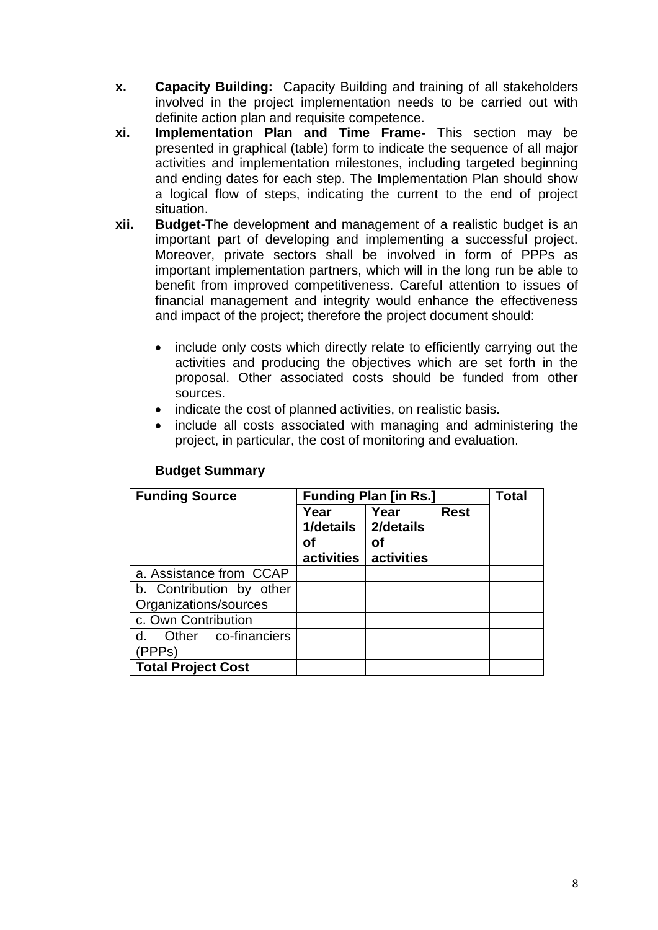- **x. Capacity Building:** Capacity Building and training of all stakeholders involved in the project implementation needs to be carried out with definite action plan and requisite competence.
- **xi. Implementation Plan and Time Frame-** This section may be presented in graphical (table) form to indicate the sequence of all major activities and implementation milestones, including targeted beginning and ending dates for each step. The Implementation Plan should show a logical flow of steps, indicating the current to the end of project situation.
- **xii. Budget-**The development and management of a realistic budget is an important part of developing and implementing a successful project. Moreover, private sectors shall be involved in form of PPPs as important implementation partners, which will in the long run be able to benefit from improved competitiveness. Careful attention to issues of financial management and integrity would enhance the effectiveness and impact of the project; therefore the project document should:
	- $\bullet$  activities and producing the objectives which are set forth in the proposal. Other associated costs should be funded from other include only costs which directly relate to efficiently carrying out the sources.
	- indicate the cost of planned activities, on realistic basis.
	- include all costs associated with managing and administering the project, in particular, the cost of monitoring and evaluation.

| <b>Funding Source</b>     | <b>Funding Plan [in Rs.]</b> |                         |             | <b>Total</b> |
|---------------------------|------------------------------|-------------------------|-------------|--------------|
|                           | Year<br>1/details<br>оf      | Year<br>2/details<br>οf | <b>Rest</b> |              |
|                           | activities                   | activities              |             |              |
| a. Assistance from CCAP   |                              |                         |             |              |
| b. Contribution by other  |                              |                         |             |              |
| Organizations/sources     |                              |                         |             |              |
| c. Own Contribution       |                              |                         |             |              |
| Other co-financiers<br>d. |                              |                         |             |              |
| (PPPs)                    |                              |                         |             |              |
| <b>Total Project Cost</b> |                              |                         |             |              |

#### **Budget Summary**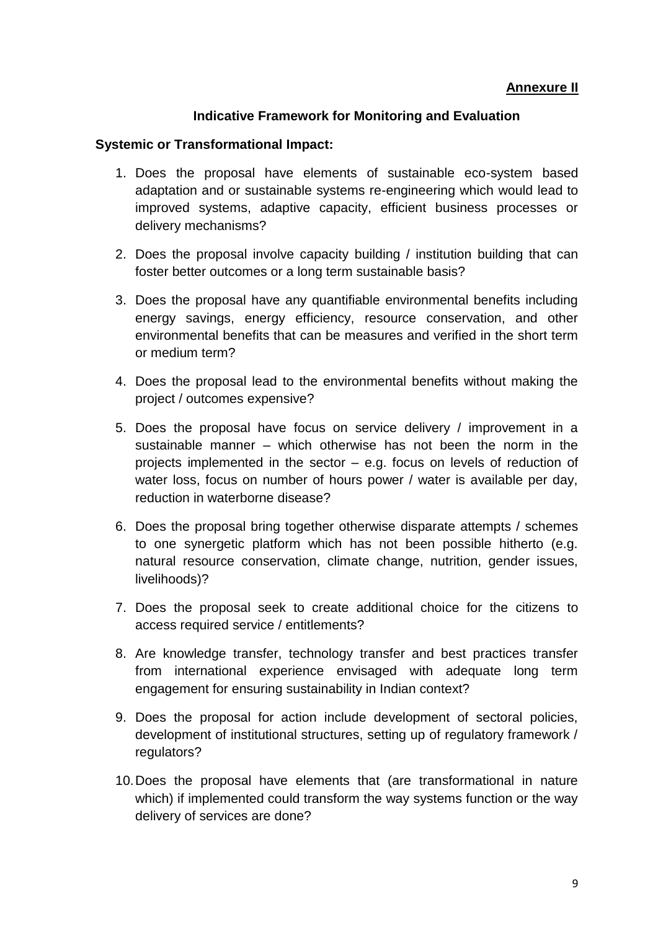#### **Annexure II**

#### **Indicative Framework for Monitoring and Evaluation**

#### **Systemic or Transformational Impact:**

- 1. Does the proposal have elements of sustainable eco-system based adaptation and or sustainable systems re-engineering which would lead to improved systems, adaptive capacity, efficient business processes or delivery mechanisms?
- 2. Does the proposal involve capacity building / institution building that can foster better outcomes or a long term sustainable basis?
- 3. Does the proposal have any quantifiable environmental benefits including energy savings, energy efficiency, resource conservation, and other environmental benefits that can be measures and verified in the short term or medium term?
- 4. Does the proposal lead to the environmental benefits without making the project / outcomes expensive?
- 5. Does the proposal have focus on service delivery / improvement in a sustainable manner – which otherwise has not been the norm in the projects implemented in the sector – e.g. focus on levels of reduction of water loss, focus on number of hours power / water is available per day, reduction in waterborne disease?
- 6. Does the proposal bring together otherwise disparate attempts / schemes to one synergetic platform which has not been possible hitherto (e.g. natural resource conservation, climate change, nutrition, gender issues, livelihoods)?
- 7. Does the proposal seek to create additional choice for the citizens to access required service / entitlements?
- from international experience envisaged with adequate long term 8. Are knowledge transfer, technology transfer and best practices transfer engagement for ensuring sustainability in Indian context?
- 9. Does the proposal for action include development of sectoral policies, development of institutional structures, setting up of regulatory framework / regulators?
- 10.Does the proposal have elements that (are transformational in nature which) if implemented could transform the way systems function or the way delivery of services are done?